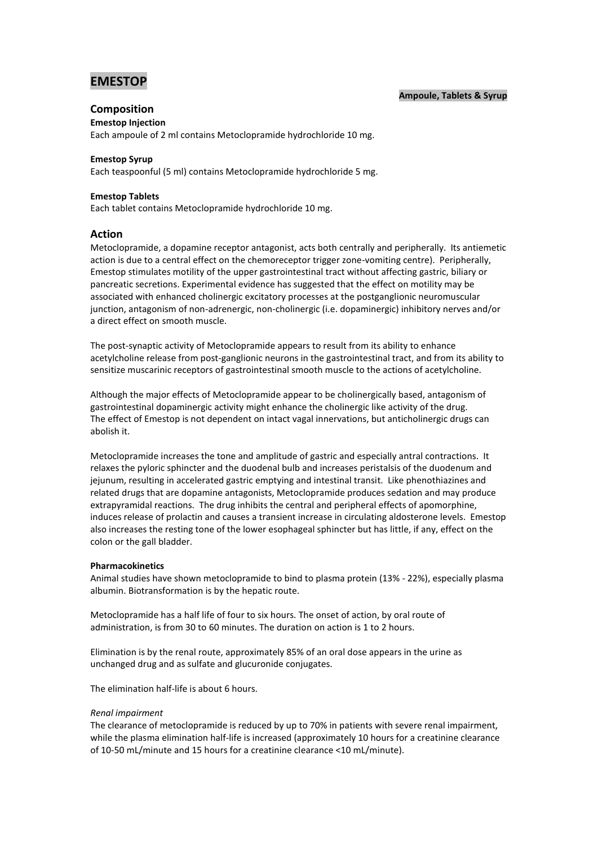# **EMESTOP**

## **Ampoule, Tablets & Syrup**

## **Composition**

**Emestop Injection**  Each ampoule of 2 ml contains Metoclopramide hydrochloride 10 mg.

## **Emestop Syrup**

Each teaspoonful (5 ml) contains Metoclopramide hydrochloride 5 mg.

## **Emestop Tablets**

Each tablet contains Metoclopramide hydrochloride 10 mg.

## **Action**

Metoclopramide, a dopamine receptor antagonist, acts both centrally and peripherally. Its antiemetic action is due to a central effect on the chemoreceptor trigger zone-vomiting centre). Peripherally, Emestop stimulates motility of the upper gastrointestinal tract without affecting gastric, biliary or pancreatic secretions. Experimental evidence has suggested that the effect on motility may be associated with enhanced cholinergic excitatory processes at the postganglionic neuromuscular junction, antagonism of non-adrenergic, non-cholinergic (i.e. dopaminergic) inhibitory nerves and/or a direct effect on smooth muscle.

The post-synaptic activity of Metoclopramide appears to result from its ability to enhance acetylcholine release from post-ganglionic neurons in the gastrointestinal tract, and from its ability to sensitize muscarinic receptors of gastrointestinal smooth muscle to the actions of acetylcholine.

Although the major effects of Metoclopramide appear to be cholinergically based, antagonism of gastrointestinal dopaminergic activity might enhance the cholinergic like activity of the drug. The effect of Emestop is not dependent on intact vagal innervations, but anticholinergic drugs can abolish it.

Metoclopramide increases the tone and amplitude of gastric and especially antral contractions. It relaxes the pyloric sphincter and the duodenal bulb and increases peristalsis of the duodenum and jejunum, resulting in accelerated gastric emptying and intestinal transit. Like phenothiazines and related drugs that are dopamine antagonists, Metoclopramide produces sedation and may produce extrapyramidal reactions. The drug inhibits the central and peripheral effects of apomorphine, induces release of prolactin and causes a transient increase in circulating aldosterone levels. Emestop also increases the resting tone of the lower esophageal sphincter but has little, if any, effect on the colon or the gall bladder.

### **Pharmacokinetics**

Animal studies have shown metoclopramide to bind to plasma protein (13% - 22%), especially plasma albumin. Biotransformation is by the hepatic route.

Metoclopramide has a half life of four to six hours. The onset of action, by oral route of administration, is from 30 to 60 minutes. The duration on action is 1 to 2 hours.

Elimination is by the renal route, approximately 85% of an oral dose appears in the urine as unchanged drug and as sulfate and glucuronide conjugates.

The elimination half-life is about 6 hours.

### *Renal impairment*

The clearance of metoclopramide is reduced by up to 70% in patients with severe renal impairment, while the plasma elimination half-life is increased (approximately 10 hours for a creatinine clearance of 10-50 mL/minute and 15 hours for a creatinine clearance <10 mL/minute).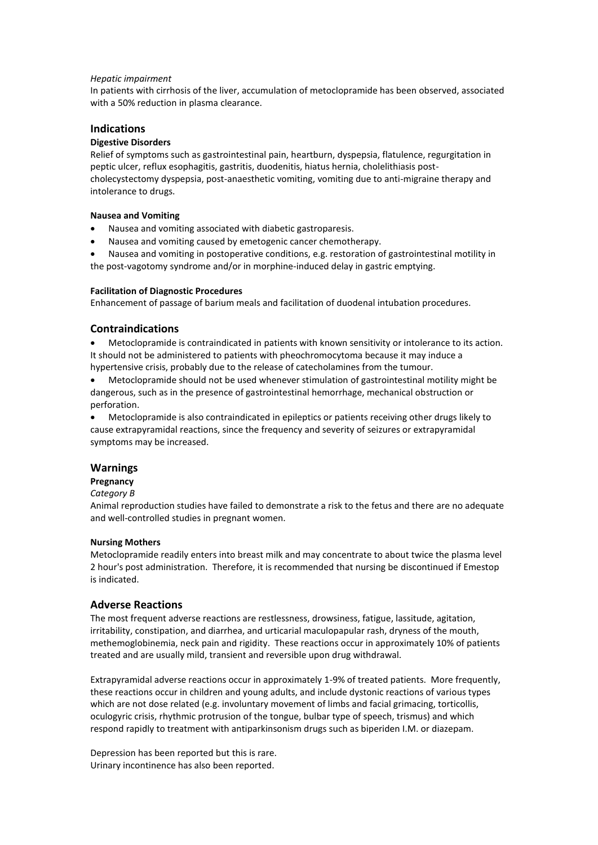### *Hepatic impairment*

In patients with cirrhosis of the liver, accumulation of metoclopramide has been observed, associated with a 50% reduction in plasma clearance.

### **Indications**

### **Digestive Disorders**

Relief of symptoms such as gastrointestinal pain, heartburn, dyspepsia, flatulence, regurgitation in peptic ulcer, reflux esophagitis, gastritis, duodenitis, hiatus hernia, cholelithiasis postcholecystectomy dyspepsia, post-anaesthetic vomiting, vomiting due to anti-migraine therapy and intolerance to drugs.

### **Nausea and Vomiting**

- Nausea and vomiting associated with diabetic gastroparesis.
- Nausea and vomiting caused by emetogenic cancer chemotherapy.

 Nausea and vomiting in postoperative conditions, e.g. restoration of gastrointestinal motility in the post-vagotomy syndrome and/or in morphine-induced delay in gastric emptying.

### **Facilitation of Diagnostic Procedures**

Enhancement of passage of barium meals and facilitation of duodenal intubation procedures.

## **Contraindications**

 Metoclopramide is contraindicated in patients with known sensitivity or intolerance to its action. It should not be administered to patients with pheochromocytoma because it may induce a hypertensive crisis, probably due to the release of catecholamines from the tumour.

 Metoclopramide should not be used whenever stimulation of gastrointestinal motility might be dangerous, such as in the presence of gastrointestinal hemorrhage, mechanical obstruction or perforation.

 Metoclopramide is also contraindicated in epileptics or patients receiving other drugs likely to cause extrapyramidal reactions, since the frequency and severity of seizures or extrapyramidal symptoms may be increased.

## **Warnings**

## **Pregnancy**

#### *Category B*

Animal reproduction studies have failed to demonstrate a risk to the fetus and there are no adequate and well-controlled studies in pregnant women.

### **Nursing Mothers**

Metoclopramide readily enters into breast milk and may concentrate to about twice the plasma level 2 hour's post administration. Therefore, it is recommended that nursing be discontinued if Emestop is indicated.

### **Adverse Reactions**

The most frequent adverse reactions are restlessness, drowsiness, fatigue, lassitude, agitation, irritability, constipation, and diarrhea, and urticarial maculopapular rash, dryness of the mouth, methemoglobinemia, neck pain and rigidity. These reactions occur in approximately 10% of patients treated and are usually mild, transient and reversible upon drug withdrawal.

Extrapyramidal adverse reactions occur in approximately 1-9% of treated patients. More frequently, these reactions occur in children and young adults, and include dystonic reactions of various types which are not dose related (e.g. involuntary movement of limbs and facial grimacing, torticollis, oculogyric crisis, rhythmic protrusion of the tongue, bulbar type of speech, trismus) and which respond rapidly to treatment with antiparkinsonism drugs such as biperiden I.M. or diazepam.

Depression has been reported but this is rare. Urinary incontinence has also been reported.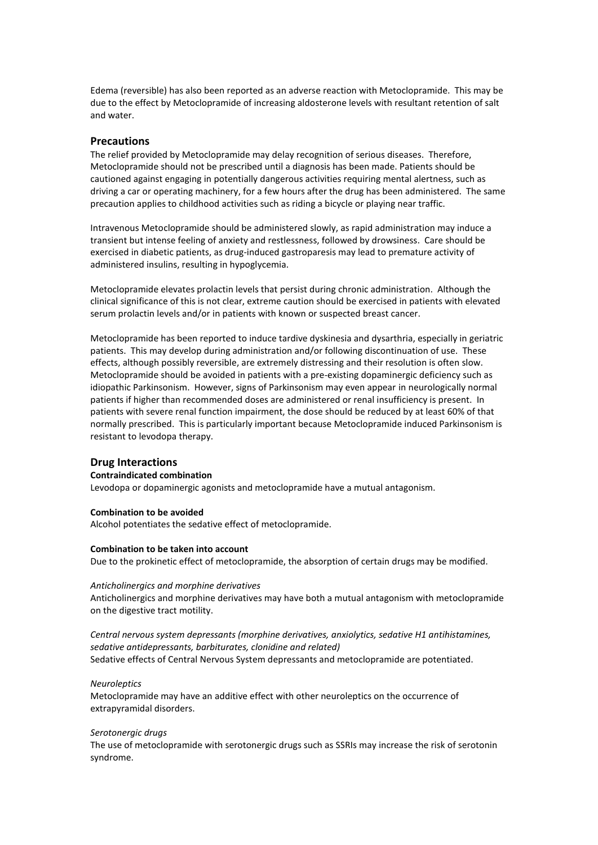Edema (reversible) has also been reported as an adverse reaction with Metoclopramide. This may be due to the effect by Metoclopramide of increasing aldosterone levels with resultant retention of salt and water.

### **Precautions**

The relief provided by Metoclopramide may delay recognition of serious diseases. Therefore, Metoclopramide should not be prescribed until a diagnosis has been made. Patients should be cautioned against engaging in potentially dangerous activities requiring mental alertness, such as driving a car or operating machinery, for a few hours after the drug has been administered. The same precaution applies to childhood activities such as riding a bicycle or playing near traffic.

Intravenous Metoclopramide should be administered slowly, as rapid administration may induce a transient but intense feeling of anxiety and restlessness, followed by drowsiness. Care should be exercised in diabetic patients, as drug-induced gastroparesis may lead to premature activity of administered insulins, resulting in hypoglycemia.

Metoclopramide elevates prolactin levels that persist during chronic administration. Although the clinical significance of this is not clear, extreme caution should be exercised in patients with elevated serum prolactin levels and/or in patients with known or suspected breast cancer.

Metoclopramide has been reported to induce tardive dyskinesia and dysarthria, especially in geriatric patients. This may develop during administration and/or following discontinuation of use. These effects, although possibly reversible, are extremely distressing and their resolution is often slow. Metoclopramide should be avoided in patients with a pre-existing dopaminergic deficiency such as idiopathic Parkinsonism. However, signs of Parkinsonism may even appear in neurologically normal patients if higher than recommended doses are administered or renal insufficiency is present. In patients with severe renal function impairment, the dose should be reduced by at least 60% of that normally prescribed. This is particularly important because Metoclopramide induced Parkinsonism is resistant to levodopa therapy.

### **Drug Interactions**

#### **Contraindicated combination**

Levodopa or dopaminergic agonists and metoclopramide have a mutual antagonism.

#### **Combination to be avoided**

Alcohol potentiates the sedative effect of metoclopramide.

#### **Combination to be taken into account**

Due to the prokinetic effect of metoclopramide, the absorption of certain drugs may be modified.

#### *Anticholinergics and morphine derivatives*

Anticholinergics and morphine derivatives may have both a mutual antagonism with metoclopramide on the digestive tract motility.

## *Central nervous system depressants (morphine derivatives, anxiolytics, sedative H1 antihistamines, sedative antidepressants, barbiturates, clonidine and related)*

Sedative effects of Central Nervous System depressants and metoclopramide are potentiated.

#### *Neuroleptics*

Metoclopramide may have an additive effect with other neuroleptics on the occurrence of extrapyramidal disorders.

#### *Serotonergic drugs*

The use of metoclopramide with serotonergic drugs such as SSRIs may increase the risk of serotonin syndrome.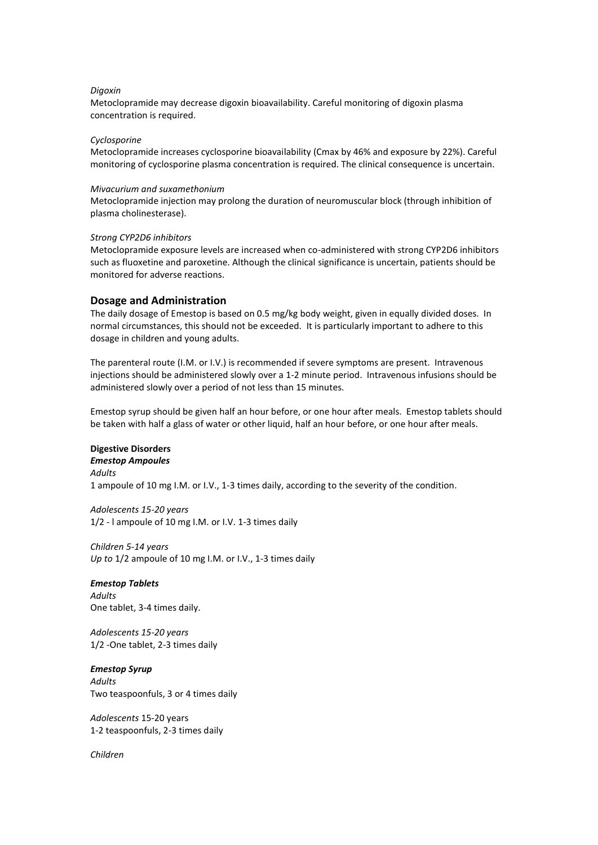### *Digoxin*

Metoclopramide may decrease digoxin bioavailability. Careful monitoring of digoxin plasma concentration is required.

#### *Cyclosporine*

Metoclopramide increases cyclosporine bioavailability (Cmax by 46% and exposure by 22%). Careful monitoring of cyclosporine plasma concentration is required. The clinical consequence is uncertain.

#### *Mivacurium and suxamethonium*

Metoclopramide injection may prolong the duration of neuromuscular block (through inhibition of plasma cholinesterase).

### *Strong CYP2D6 inhibitors*

Metoclopramide exposure levels are increased when co-administered with strong CYP2D6 inhibitors such as fluoxetine and paroxetine. Although the clinical significance is uncertain, patients should be monitored for adverse reactions.

### **Dosage and Administration**

The daily dosage of Emestop is based on 0.5 mg/kg body weight, given in equally divided doses. In normal circumstances, this should not be exceeded. It is particularly important to adhere to this dosage in children and young adults.

The parenteral route (I.M. or I.V.) is recommended if severe symptoms are present. Intravenous injections should be administered slowly over a 1-2 minute period. Intravenous infusions should be administered slowly over a period of not less than 15 minutes.

Emestop syrup should be given half an hour before, or one hour after meals. Emestop tablets should be taken with half a glass of water or other liquid, half an hour before, or one hour after meals.

## **Digestive Disorders**

### *Emestop Ampoules*

*Adults*

1 ampoule of 10 mg I.M. or I.V., 1-3 times daily, according to the severity of the condition.

*Adolescents 15-20 years* 1/2 - l ampoule of 10 mg I.M. or I.V. 1-3 times daily

*Children 5-14 years Up to* 1/2 ampoule of 10 mg I.M. or I.V., 1-3 times daily

#### *Emestop Tablets*

*Adults* One tablet, 3-4 times daily.

*Adolescents 15-20 years* 1/2 -One tablet, 2-3 times daily

### *Emestop Syrup Adults*

Two teaspoonfuls, 3 or 4 times daily

*Adolescents* 15-20 years 1-2 teaspoonfuls, 2-3 times daily

*Children*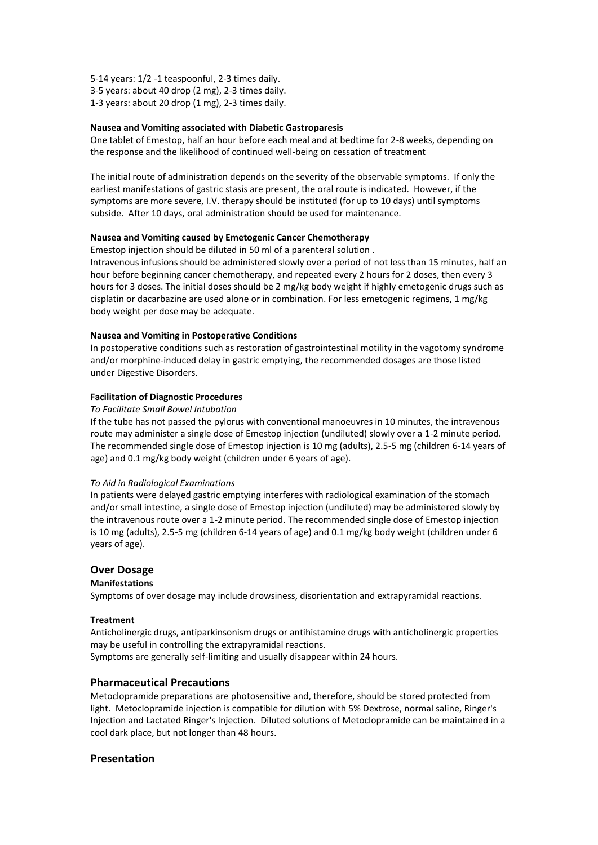- 5-14 years: 1/2 -1 teaspoonful, 2-3 times daily.
- 3-5 years: about 40 drop (2 mg), 2-3 times daily.
- 1-3 years: about 20 drop (1 mg), 2-3 times daily.

### **Nausea and Vomiting associated with Diabetic Gastroparesis**

One tablet of Emestop, half an hour before each meal and at bedtime for 2-8 weeks, depending on the response and the likelihood of continued well-being on cessation of treatment

The initial route of administration depends on the severity of the observable symptoms. If only the earliest manifestations of gastric stasis are present, the oral route is indicated. However, if the symptoms are more severe, I.V. therapy should be instituted (for up to 10 days) until symptoms subside. After 10 days, oral administration should be used for maintenance.

#### **Nausea and Vomiting caused by Emetogenic Cancer Chemotherapy**

Emestop injection should be diluted in 50 ml of a parenteral solution .

Intravenous infusions should be administered slowly over a period of not less than 15 minutes, half an hour before beginning cancer chemotherapy, and repeated every 2 hours for 2 doses, then every 3 hours for 3 doses. The initial doses should be 2 mg/kg body weight if highly emetogenic drugs such as cisplatin or dacarbazine are used alone or in combination. For less emetogenic regimens, 1 mg/kg body weight per dose may be adequate.

#### **Nausea and Vomiting in Postoperative Conditions**

In postoperative conditions such as restoration of gastrointestinal motility in the vagotomy syndrome and/or morphine-induced delay in gastric emptying, the recommended dosages are those listed under Digestive Disorders.

### **Facilitation of Diagnostic Procedures**

#### *To Facilitate Small Bowel Intubation*

If the tube has not passed the pylorus with conventional manoeuvres in 10 minutes, the intravenous route may administer a single dose of Emestop injection (undiluted) slowly over a 1-2 minute period. The recommended single dose of Emestop injection is 10 mg (adults), 2.5-5 mg (children 6-14 years of age) and 0.1 mg/kg body weight (children under 6 years of age).

#### *To Aid in Radiological Examinations*

In patients were delayed gastric emptying interferes with radiological examination of the stomach and/or small intestine, a single dose of Emestop injection (undiluted) may be administered slowly by the intravenous route over a 1-2 minute period. The recommended single dose of Emestop injection is 10 mg (adults), 2.5-5 mg (children 6-14 years of age) and 0.1 mg/kg body weight (children under 6 years of age).

### **Over Dosage**

#### **Manifestations**

Symptoms of over dosage may include drowsiness, disorientation and extrapyramidal reactions.

#### **Treatment**

Anticholinergic drugs, antiparkinsonism drugs or antihistamine drugs with anticholinergic properties may be useful in controlling the extrapyramidal reactions. Symptoms are generally self-limiting and usually disappear within 24 hours.

#### **Pharmaceutical Precautions**

Metoclopramide preparations are photosensitive and, therefore, should be stored protected from light. Metoclopramide injection is compatible for dilution with 5% Dextrose, normal saline, Ringer's Injection and Lactated Ringer's Injection. Diluted solutions of Metoclopramide can be maintained in a cool dark place, but not longer than 48 hours.

### **Presentation**